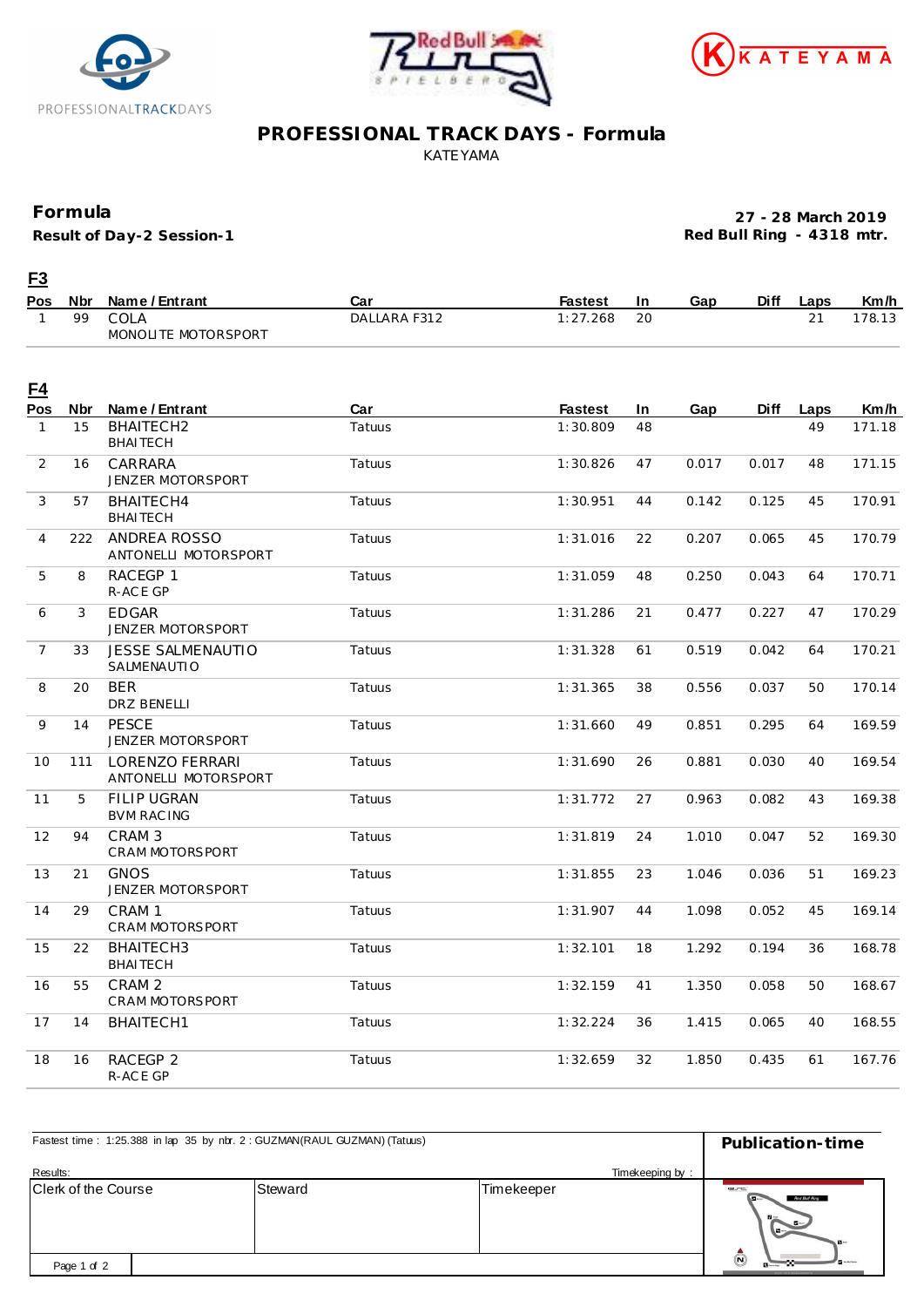





#### **PROFESSIONAL TRACK DAYS - Formula** KATEYAMA

#### **Formula**

**Result of Day-2 Session-1**

**27 - 28 March 2019 Red Bull Ring - 4318 mtr.**

## **F3**

| Pos Nbr | Name / Entrant      | Car          | Fastest | In | Gap | <b>Diff</b> | Laps | Km/h  |
|---------|---------------------|--------------|---------|----|-----|-------------|------|-------|
| 99      | COLA                | DALLARA F312 | '.268   | 20 |     |             |      | 78.13 |
|         | MONOLITE MOTORSPORT |              |         |    |     |             |      |       |

| <u>F4</u>      |            |                                             |        |                |           |       |             |      |        |
|----------------|------------|---------------------------------------------|--------|----------------|-----------|-------|-------------|------|--------|
| Pos            | <b>Nbr</b> | Name / Entrant                              | Car    | <b>Fastest</b> | <b>In</b> | Gap   | <b>Diff</b> | Laps | Km/h   |
| $\mathbf{1}$   | 15         | BHAITECH2<br><b>BHAITECH</b>                | Tatuus | 1:30.809       | 48        |       |             | 49   | 171.18 |
| 2              | 16         | CARRARA<br><b>JENZER MOTORSPORT</b>         | Tatuus | 1:30.826       | 47        | 0.017 | 0.017       | 48   | 171.15 |
| 3              | 57         | BHAITECH4<br><b>BHAITECH</b>                | Tatuus | 1:30.951       | 44        | 0.142 | 0.125       | 45   | 170.91 |
| $\overline{4}$ | 222        | ANDREA ROSSO<br>ANTONELLI MOTORSPORT        | Tatuus | 1:31.016       | 22        | 0.207 | 0.065       | 45   | 170.79 |
| 5              | 8          | RACEGP 1<br>R-ACE GP                        | Tatuus | 1:31.059       | 48        | 0.250 | 0.043       | 64   | 170.71 |
| 6              | 3          | <b>EDGAR</b><br>JENZER MOTORSPORT           | Tatuus | 1:31.286       | 21        | 0.477 | 0.227       | 47   | 170.29 |
| $\overline{7}$ | 33         | <b>JESSE SALMENAUTIO</b><br>SALMENAUTIO     | Tatuus | 1:31.328       | 61        | 0.519 | 0.042       | 64   | 170.21 |
| 8              | 20         | <b>BER</b><br><b>DRZ BENELLI</b>            | Tatuus | 1:31.365       | 38        | 0.556 | 0.037       | 50   | 170.14 |
| 9              | 14         | <b>PESCE</b><br><b>JENZER MOTORSPORT</b>    | Tatuus | 1:31.660       | 49        | 0.851 | 0.295       | 64   | 169.59 |
| 10             | 111        | LORENZO FERRARI<br>ANTONELLI MOTORSPORT     | Tatuus | 1:31.690       | 26        | 0.881 | 0.030       | 40   | 169.54 |
| 11             | 5          | <b>FILIP UGRAN</b><br><b>BVM RACING</b>     | Tatuus | 1:31.772       | 27        | 0.963 | 0.082       | 43   | 169.38 |
| 12             | 94         | CRAM <sub>3</sub><br><b>CRAM MOTORSPORT</b> | Tatuus | 1:31.819       | 24        | 1.010 | 0.047       | 52   | 169.30 |
| 13             | 21         | <b>GNOS</b><br><b>JENZER MOTORSPORT</b>     | Tatuus | 1:31.855       | 23        | 1.046 | 0.036       | 51   | 169.23 |
| 14             | 29         | CRAM <sub>1</sub><br>CRAM MOTORSPORT        | Tatuus | 1:31.907       | 44        | 1.098 | 0.052       | 45   | 169.14 |
| 15             | 22         | BHAITECH3<br><b>BHAITECH</b>                | Tatuus | 1:32.101       | 18        | 1.292 | 0.194       | 36   | 168.78 |
| 16             | 55         | CRAM <sub>2</sub><br><b>CRAM MOTORSPORT</b> | Tatuus | 1:32.159       | 41        | 1.350 | 0.058       | 50   | 168.67 |
| 17             | 14         | BHAITECH1                                   | Tatuus | 1:32.224       | 36        | 1.415 | 0.065       | 40   | 168.55 |
| 18             | 16         | RACEGP 2<br>R-ACE GP                        | Tatuus | 1:32.659       | 32        | 1.850 | 0.435       | 61   | 167.76 |

| Fastest time: 1:25.388 in lap 35 by nbr. 2: GUZMAN(RAUL GUZMAN) (Tatuus) | Publication-time |                               |                                                                        |
|--------------------------------------------------------------------------|------------------|-------------------------------|------------------------------------------------------------------------|
| Results:<br>Clerk of the Course                                          | Steward          | Timekeeping by:<br>Timekeeper | C                                                                      |
|                                                                          |                  |                               | Red Bull Ring<br>$B -$<br>$\mathbf{H}$                                 |
| Page 1 of 2                                                              |                  |                               | $\bar{\bm{\Theta}}$<br><b>Burney</b><br><b>NICH VOLAS CARLINI SACA</b> |